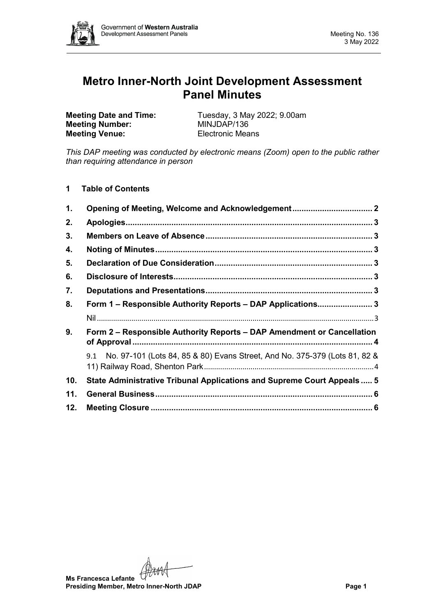

# **Metro Inner-North Joint Development Assessment Panel Minutes**

**Meeting Number: Meeting Venue:** Electronic Means

**Meeting Date and Time:** Tuesday, 3 May 2022; 9.00am<br> **Meeting Number:** MINJDAP/136

*This DAP meeting was conducted by electronic means (Zoom) open to the public rather than requiring attendance in person*

**1 Table of Contents**

| 1.  | Opening of Meeting, Welcome and Acknowledgement 2                              |  |
|-----|--------------------------------------------------------------------------------|--|
| 2.  |                                                                                |  |
| 3.  |                                                                                |  |
| 4.  |                                                                                |  |
| 5.  |                                                                                |  |
| 6.  |                                                                                |  |
| 7.  |                                                                                |  |
| 8.  | Form 1 – Responsible Authority Reports – DAP Applications3                     |  |
|     |                                                                                |  |
| 9.  | Form 2 – Responsible Authority Reports – DAP Amendment or Cancellation         |  |
|     | 9.1 No. 97-101 (Lots 84, 85 & 80) Evans Street, And No. 375-379 (Lots 81, 82 & |  |
| 10. | State Administrative Tribunal Applications and Supreme Court Appeals  5        |  |
| 11. |                                                                                |  |
| 12. |                                                                                |  |

**Ms Francesca Lefante Presiding Member, Metro Inner-North JDAP Page 1**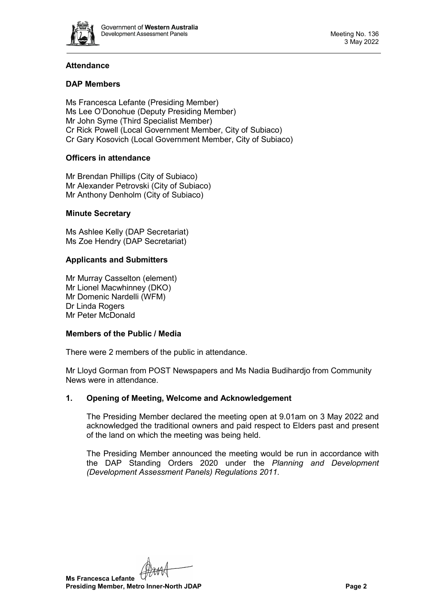

# **Attendance**

# **DAP Members**

Ms Francesca Lefante (Presiding Member) Ms Lee O'Donohue (Deputy Presiding Member) Mr John Syme (Third Specialist Member) Cr Rick Powell (Local Government Member, City of Subiaco) Cr Gary Kosovich (Local Government Member, City of Subiaco)

# **Officers in attendance**

Mr Brendan Phillips (City of Subiaco) Mr Alexander Petrovski (City of Subiaco) Mr Anthony Denholm (City of Subiaco)

## **Minute Secretary**

Ms Ashlee Kelly (DAP Secretariat) Ms Zoe Hendry (DAP Secretariat)

## **Applicants and Submitters**

Mr Murray Casselton (element) Mr Lionel Macwhinney (DKO) Mr Domenic Nardelli (WFM) Dr Linda Rogers Mr Peter McDonald

## **Members of the Public / Media**

There were 2 members of the public in attendance.

Mr Lloyd Gorman from POST Newspapers and Ms Nadia Budihardjo from Community News were in attendance.

# <span id="page-1-0"></span>**1. Opening of Meeting, Welcome and Acknowledgement**

The Presiding Member declared the meeting open at 9.01am on 3 May 2022 and acknowledged the traditional owners and paid respect to Elders past and present of the land on which the meeting was being held.

The Presiding Member announced the meeting would be run in accordance with the DAP Standing Orders 2020 under the *Planning and Development (Development Assessment Panels) Regulations 2011.*

**Ms Francesca Lefante**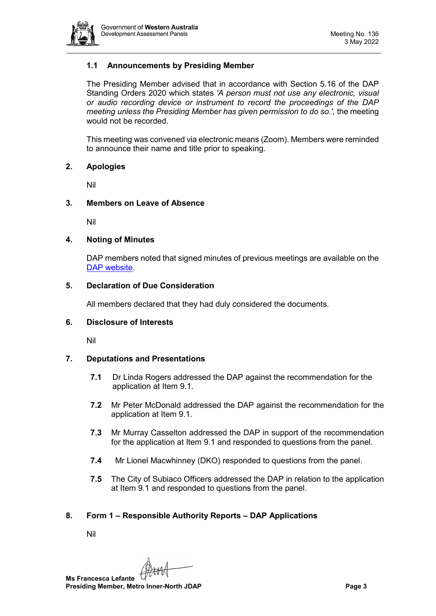

# **1.1 Announcements by Presiding Member**

The Presiding Member advised that in accordance with Section 5.16 of the DAP Standing Orders 2020 which states *'A person must not use any electronic, visual or audio recording device or instrument to record the proceedings of the DAP meeting unless the Presiding Member has given permission to do so.',* the meeting would not be recorded.

This meeting was convened via electronic means (Zoom). Members were reminded to announce their name and title prior to speaking.

#### <span id="page-2-0"></span>**2. Apologies**

Nil

## <span id="page-2-1"></span>**3. Members on Leave of Absence**

Nil

## <span id="page-2-2"></span>**4. Noting of Minutes**

DAP members noted that signed minutes of previous meetings are available on the [DAP website.](https://www.dplh.wa.gov.au/about/development-assessment-panels/daps-agendas-and-minutes)

## <span id="page-2-3"></span>**5. Declaration of Due Consideration**

All members declared that they had duly considered the documents.

#### <span id="page-2-4"></span>**6. Disclosure of Interests**

Nil

# <span id="page-2-5"></span>**7. Deputations and Presentations**

- **7.1** Dr Linda Rogers addressed the DAP against the recommendation for the application at Item 9.1.
- **7.2** Mr Peter McDonald addressed the DAP against the recommendation for the application at Item 9.1.
- **7.3** Mr Murray Casselton addressed the DAP in support of the recommendation for the application at Item 9.1 and responded to questions from the panel.
- **7.4** Mr Lionel Macwhinney (DKO) responded to questions from the panel.
- **7.5** The City of Subiaco Officers addressed the DAP in relation to the application at Item 9.1 and responded to questions from the panel.

# <span id="page-2-7"></span><span id="page-2-6"></span>**8. Form 1 – Responsible Authority Reports – DAP Applications**

Nil

**Ms Francesca Lefante Presiding Member, Metro Inner-North JDAP Page 3**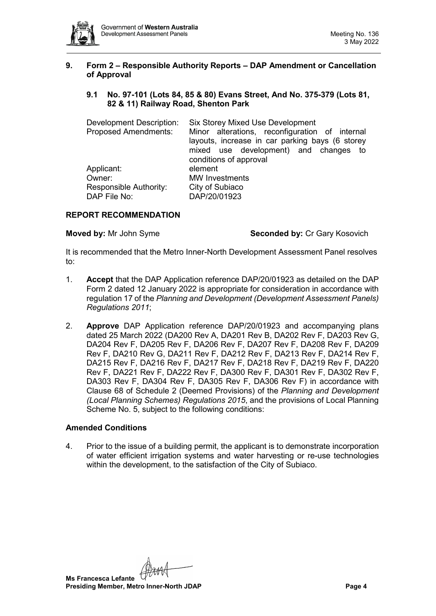

## <span id="page-3-0"></span>**9. Form 2 – Responsible Authority Reports – DAP Amendment or Cancellation of Approval**

# <span id="page-3-1"></span>**9.1 No. 97-101 (Lots 84, 85 & 80) Evans Street, And No. 375-379 (Lots 81, 82 & 11) Railway Road, Shenton Park**

| Development Description:<br><b>Proposed Amendments:</b> | <b>Six Storey Mixed Use Development</b><br>Minor alterations, reconfiguration of internal<br>layouts, increase in car parking bays (6 storey<br>mixed use development) and changes to<br>conditions of approval |  |  |
|---------------------------------------------------------|-----------------------------------------------------------------------------------------------------------------------------------------------------------------------------------------------------------------|--|--|
| Applicant:                                              | element                                                                                                                                                                                                         |  |  |
| Owner:                                                  | <b>MW</b> Investments                                                                                                                                                                                           |  |  |
| Responsible Authority:<br>DAP File No:                  | City of Subiaco<br>DAP/20/01923                                                                                                                                                                                 |  |  |

## **REPORT RECOMMENDATION**

**Moved by:** Mr John Syme **Seconded by:** Cr Gary Kosovich

It is recommended that the Metro Inner-North Development Assessment Panel resolves to:

- 1. **Accept** that the DAP Application reference DAP/20/01923 as detailed on the DAP Form 2 dated 12 January 2022 is appropriate for consideration in accordance with regulation 17 of the *Planning and Development (Development Assessment Panels) Regulations 2011*;
- 2. **Approve** DAP Application reference DAP/20/01923 and accompanying plans dated 25 March 2022 (DA200 Rev A, DA201 Rev B, DA202 Rev F, DA203 Rev G, DA204 Rev F, DA205 Rev F, DA206 Rev F, DA207 Rev F, DA208 Rev F, DA209 Rev F, DA210 Rev G, DA211 Rev F, DA212 Rev F, DA213 Rev F, DA214 Rev F, DA215 Rev F, DA216 Rev F, DA217 Rev F, DA218 Rev F, DA219 Rev F, DA220 Rev F, DA221 Rev F, DA222 Rev F, DA300 Rev F, DA301 Rev F, DA302 Rev F, DA303 Rev F, DA304 Rev F, DA305 Rev F, DA306 Rev F) in accordance with Clause 68 of Schedule 2 (Deemed Provisions) of the *Planning and Development (Local Planning Schemes) Regulations 2015*, and the provisions of Local Planning Scheme No. 5, subject to the following conditions:

## **Amended Conditions**

4. Prior to the issue of a building permit, the applicant is to demonstrate incorporation of water efficient irrigation systems and water harvesting or re-use technologies within the development, to the satisfaction of the City of Subiaco.

**Ms Francesca Lefante**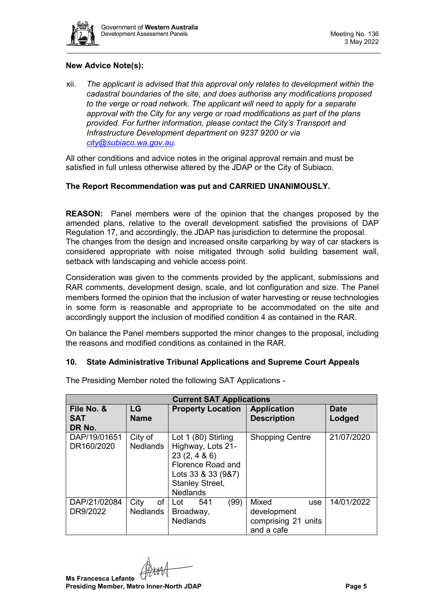

# **New Advice Note(s):**

xii. *The applicant is advised that this approval only relates to development within the cadastral boundaries of the site, and does authorise any modifications proposed to the verge or road network. The applicant will need to apply for a separate approval with the City for any verge or road modifications as part of the plans provided. For further information, please contact the City's Transport and Infrastructure Development department on 9237 9200 or via [city@subiaco.wa.gov.au.](mailto:city@subiaco.wa.gov.au)* 

All other conditions and advice notes in the original approval remain and must be satisfied in full unless otherwise altered by the JDAP or the City of Subiaco.

# **The Report Recommendation was put and CARRIED UNANIMOUSLY.**

**REASON:** Panel members were of the opinion that the changes proposed by the amended plans, relative to the overall development satisfied the provisions of DAP Regulation 17, and accordingly, the JDAP has jurisdiction to determine the proposal. The changes from the design and increased onsite carparking by way of car stackers is considered appropriate with noise mitigated through solid building basement wall, setback with landscaping and vehicle access point.

Consideration was given to the comments provided by the applicant, submissions and RAR comments, development design, scale, and lot configuration and size. The Panel members formed the opinion that the inclusion of water harvesting or reuse technologies in some form is reasonable and appropriate to be accommodated on the site and accordingly support the inclusion of modified condition 4 as contained in the RAR.

On balance the Panel members supported the minor changes to the proposal, including the reasons and modified conditions as contained in the RAR.

# <span id="page-4-0"></span>**10. State Administrative Tribunal Applications and Supreme Court Appeals**

| <b>Current SAT Applications</b>    |                               |                                                                                                                                                |                                                                  |                       |  |
|------------------------------------|-------------------------------|------------------------------------------------------------------------------------------------------------------------------------------------|------------------------------------------------------------------|-----------------------|--|
| File No. &<br><b>SAT</b><br>DR No. | <b>LG</b><br><b>Name</b>      | <b>Property Location</b>                                                                                                                       | <b>Application</b><br><b>Description</b>                         | <b>Date</b><br>Lodged |  |
| DAP/19/01651<br>DR160/2020         | City of<br><b>Nedlands</b>    | Lot 1 (80) Stirling<br>Highway, Lots 21-<br>23(2, 486)<br>Florence Road and<br>Lots 33 & 33 (9&7)<br><b>Stanley Street,</b><br><b>Nedlands</b> | <b>Shopping Centre</b>                                           | 21/07/2020            |  |
| DAP/21/02084<br>DR9/2022           | City<br>of<br><b>Nedlands</b> | (99)<br>541<br>Lot<br>Broadway,<br><b>Nedlands</b>                                                                                             | Mixed<br>use<br>development<br>comprising 21 units<br>and a cafe | 14/01/2022            |  |

The Presiding Member noted the following SAT Applications -

**Ms Francesca Lefante Presiding Member, Metro Inner-North JDAP Page 5**